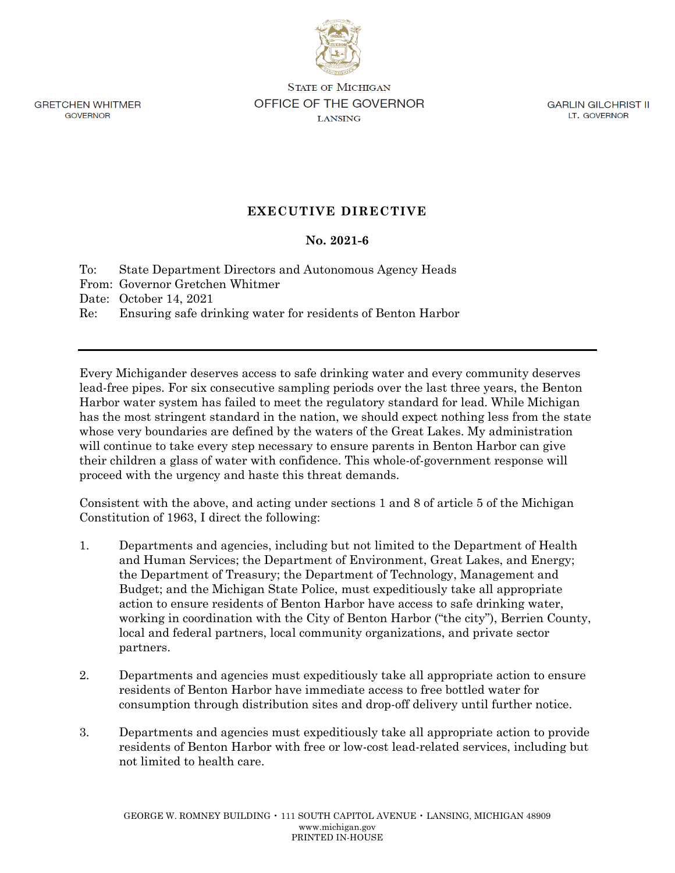**GRETCHEN WHITMER** GOVERNOR

**STATE OF MICHIGAN** OFFICE OF THE GOVERNOR **LANSING** 

**GARLIN GILCHRIST II** LT. GOVERNOR

## **EXECUTIVE DIRECTIVE**

## **No. 2021-6**

To: State Department Directors and Autonomous Agency Heads

From: Governor Gretchen Whitmer

Date: October 14, 2021

Re: Ensuring safe drinking water for residents of Benton Harbor

Every Michigander deserves access to safe drinking water and every community deserves lead-free pipes. For six consecutive sampling periods over the last three years, the Benton Harbor water system has failed to meet the regulatory standard for lead. While Michigan has the most stringent standard in the nation, we should expect nothing less from the state whose very boundaries are defined by the waters of the Great Lakes. My administration will continue to take every step necessary to ensure parents in Benton Harbor can give their children a glass of water with confidence. This whole-of-government response will proceed with the urgency and haste this threat demands.

Consistent with the above, and acting under sections 1 and 8 of article 5 of the Michigan Constitution of 1963, I direct the following:

- 1. Departments and agencies, including but not limited to the Department of Health and Human Services; the Department of Environment, Great Lakes, and Energy; the Department of Treasury; the Department of Technology, Management and Budget; and the Michigan State Police, must expeditiously take all appropriate action to ensure residents of Benton Harbor have access to safe drinking water, working in coordination with the City of Benton Harbor ("the city"), Berrien County, local and federal partners, local community organizations, and private sector partners.
- 2. Departments and agencies must expeditiously take all appropriate action to ensure residents of Benton Harbor have immediate access to free bottled water for consumption through distribution sites and drop-off delivery until further notice.
- 3. Departments and agencies must expeditiously take all appropriate action to provide residents of Benton Harbor with free or low-cost lead-related services, including but not limited to health care.